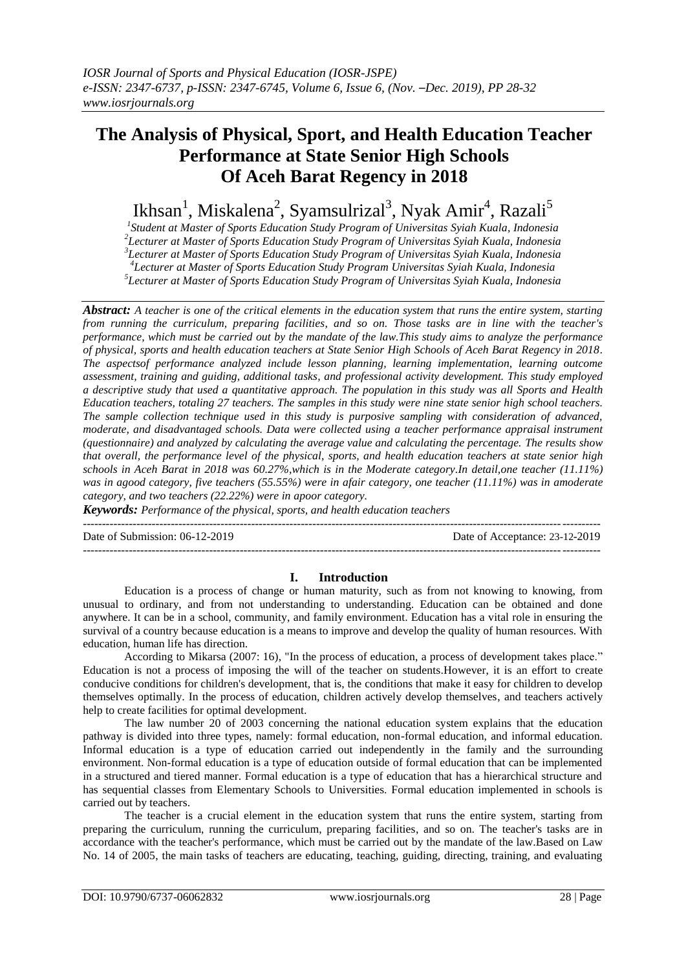# **The Analysis of Physical, Sport, and Health Education Teacher Performance at State Senior High Schools Of Aceh Barat Regency in 2018**

Ikhsan<sup>1</sup>, Miskalena<sup>2</sup>, Syamsulrizal<sup>3</sup>, Nyak Amir<sup>4</sup>, Razali<sup>5</sup>

 *Student at Master of Sports Education Study Program of Universitas Syiah Kuala, Indonesia Lecturer at Master of Sports Education Study Program of Universitas Syiah Kuala, Indonesia Lecturer at Master of Sports Education Study Program of Universitas Syiah Kuala, Indonesia Lecturer at Master of Sports Education Study Program Universitas Syiah Kuala, Indonesia*

*5 Lecturer at Master of Sports Education Study Program of Universitas Syiah Kuala, Indonesia*

*Abstract: A teacher is one of the critical elements in the education system that runs the entire system, starting from running the curriculum, preparing facilities, and so on. Those tasks are in line with the teacher's performance, which must be carried out by the mandate of the law.This study aims to analyze the performance of physical, sports and health education teachers at State Senior High Schools of Aceh Barat Regency in 2018. The aspectsof performance analyzed include lesson planning, learning implementation, learning outcome assessment, training and guiding, additional tasks, and professional activity development. This study employed a descriptive study that used a quantitative approach. The population in this study was all Sports and Health Education teachers, totaling 27 teachers. The samples in this study were nine state senior high school teachers. The sample collection technique used in this study is purposive sampling with consideration of advanced, moderate, and disadvantaged schools. Data were collected using a teacher performance appraisal instrument (questionnaire) and analyzed by calculating the average value and calculating the percentage. The results show that overall, the performance level of the physical, sports, and health education teachers at state senior high schools in Aceh Barat in 2018 was 60.27%,which is in the Moderate category.In detail,one teacher (11.11%) was in agood category, five teachers (55.55%) were in afair category, one teacher (11.11%) was in amoderate category, and two teachers (22.22%) were in apoor category.* 

*Keywords: Performance of the physical, sports, and health education teachers*

---------------------------------------------------------------------------------------------------------------------------------------

Date of Submission: 06-12-2019 Date of Acceptance: 23-12-2019

---------------------------------------------------------------------------------------------------------------------------------------

## **I. Introduction**

Education is a process of change or human maturity, such as from not knowing to knowing, from unusual to ordinary, and from not understanding to understanding. Education can be obtained and done anywhere. It can be in a school, community, and family environment. Education has a vital role in ensuring the survival of a country because education is a means to improve and develop the quality of human resources. With education, human life has direction.

According to Mikarsa (2007: 16), "In the process of education, a process of development takes place." Education is not a process of imposing the will of the teacher on students.However, it is an effort to create conducive conditions for children's development, that is, the conditions that make it easy for children to develop themselves optimally. In the process of education, children actively develop themselves, and teachers actively help to create facilities for optimal development.

The law number 20 of 2003 concerning the national education system explains that the education pathway is divided into three types, namely: formal education, non-formal education, and informal education. Informal education is a type of education carried out independently in the family and the surrounding environment. Non-formal education is a type of education outside of formal education that can be implemented in a structured and tiered manner. Formal education is a type of education that has a hierarchical structure and has sequential classes from Elementary Schools to Universities. Formal education implemented in schools is carried out by teachers.

The teacher is a crucial element in the education system that runs the entire system, starting from preparing the curriculum, running the curriculum, preparing facilities, and so on. The teacher's tasks are in accordance with the teacher's performance, which must be carried out by the mandate of the law.Based on Law No. 14 of 2005, the main tasks of teachers are educating, teaching, guiding, directing, training, and evaluating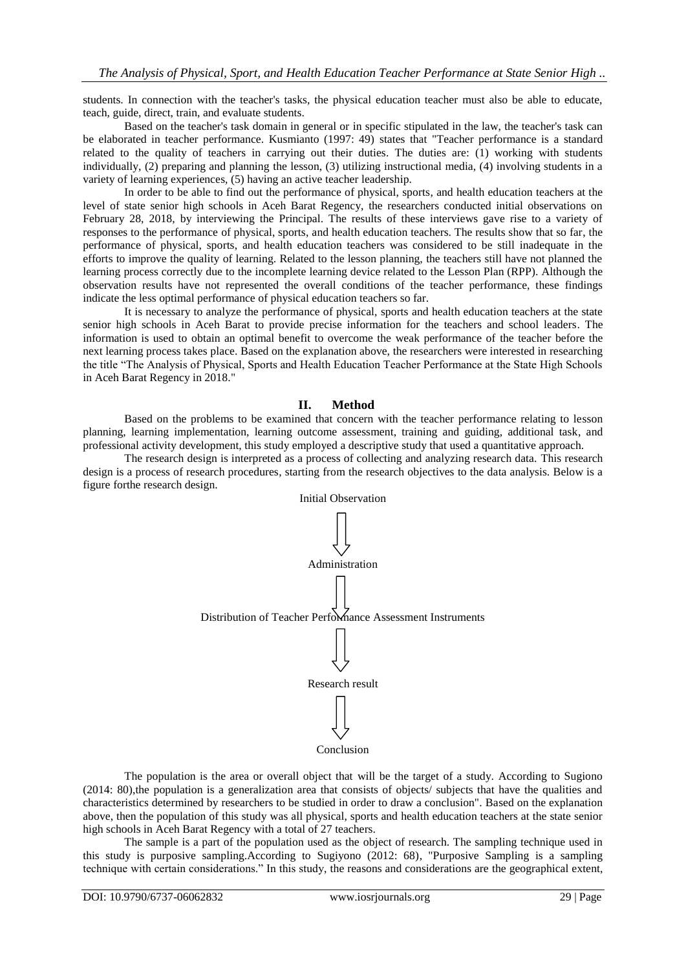students. In connection with the teacher's tasks, the physical education teacher must also be able to educate, teach, guide, direct, train, and evaluate students.

Based on the teacher's task domain in general or in specific stipulated in the law, the teacher's task can be elaborated in teacher performance. Kusmianto (1997: 49) states that "Teacher performance is a standard related to the quality of teachers in carrying out their duties. The duties are: (1) working with students individually, (2) preparing and planning the lesson, (3) utilizing instructional media, (4) involving students in a variety of learning experiences, (5) having an active teacher leadership.

In order to be able to find out the performance of physical, sports, and health education teachers at the level of state senior high schools in Aceh Barat Regency, the researchers conducted initial observations on February 28, 2018, by interviewing the Principal. The results of these interviews gave rise to a variety of responses to the performance of physical, sports, and health education teachers. The results show that so far, the performance of physical, sports, and health education teachers was considered to be still inadequate in the efforts to improve the quality of learning. Related to the lesson planning, the teachers still have not planned the learning process correctly due to the incomplete learning device related to the Lesson Plan (RPP). Although the observation results have not represented the overall conditions of the teacher performance, these findings indicate the less optimal performance of physical education teachers so far.

It is necessary to analyze the performance of physical, sports and health education teachers at the state senior high schools in Aceh Barat to provide precise information for the teachers and school leaders. The information is used to obtain an optimal benefit to overcome the weak performance of the teacher before the next learning process takes place. Based on the explanation above, the researchers were interested in researching the title "The Analysis of Physical, Sports and Health Education Teacher Performance at the State High Schools in Aceh Barat Regency in 2018."

## **II. Method**

Based on the problems to be examined that concern with the teacher performance relating to lesson planning, learning implementation, learning outcome assessment, training and guiding, additional task, and professional activity development, this study employed a descriptive study that used a quantitative approach.

The research design is interpreted as a process of collecting and analyzing research data. This research design is a process of research procedures, starting from the research objectives to the data analysis. Below is a figure forthe research design.



The population is the area or overall object that will be the target of a study. According to Sugiono (2014: 80),the population is a generalization area that consists of objects/ subjects that have the qualities and characteristics determined by researchers to be studied in order to draw a conclusion". Based on the explanation above, then the population of this study was all physical, sports and health education teachers at the state senior high schools in Aceh Barat Regency with a total of 27 teachers.

The sample is a part of the population used as the object of research. The sampling technique used in this study is purposive sampling.According to Sugiyono (2012: 68), "Purposive Sampling is a sampling technique with certain considerations." In this study, the reasons and considerations are the geographical extent,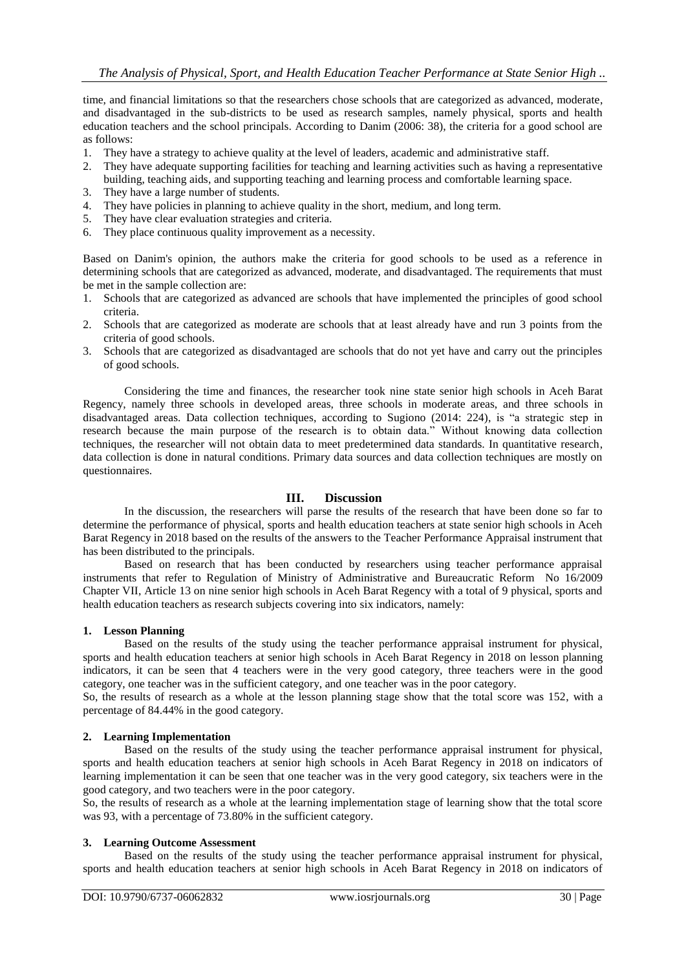time, and financial limitations so that the researchers chose schools that are categorized as advanced, moderate, and disadvantaged in the sub-districts to be used as research samples, namely physical, sports and health education teachers and the school principals. According to Danim (2006: 38), the criteria for a good school are as follows:

- 1. They have a strategy to achieve quality at the level of leaders, academic and administrative staff.
- 2. They have adequate supporting facilities for teaching and learning activities such as having a representative building, teaching aids, and supporting teaching and learning process and comfortable learning space.
- 3. They have a large number of students.
- 4. They have policies in planning to achieve quality in the short, medium, and long term.
- 5. They have clear evaluation strategies and criteria.
- 6. They place continuous quality improvement as a necessity.

Based on Danim's opinion, the authors make the criteria for good schools to be used as a reference in determining schools that are categorized as advanced, moderate, and disadvantaged. The requirements that must be met in the sample collection are:

- 1. Schools that are categorized as advanced are schools that have implemented the principles of good school criteria.
- 2. Schools that are categorized as moderate are schools that at least already have and run 3 points from the criteria of good schools.
- 3. Schools that are categorized as disadvantaged are schools that do not yet have and carry out the principles of good schools.

Considering the time and finances, the researcher took nine state senior high schools in Aceh Barat Regency, namely three schools in developed areas, three schools in moderate areas, and three schools in disadvantaged areas. Data collection techniques, according to Sugiono (2014: 224), is "a strategic step in research because the main purpose of the research is to obtain data." Without knowing data collection techniques, the researcher will not obtain data to meet predetermined data standards. In quantitative research, data collection is done in natural conditions. Primary data sources and data collection techniques are mostly on questionnaires.

# **III. Discussion**

In the discussion, the researchers will parse the results of the research that have been done so far to determine the performance of physical, sports and health education teachers at state senior high schools in Aceh Barat Regency in 2018 based on the results of the answers to the Teacher Performance Appraisal instrument that has been distributed to the principals.

Based on research that has been conducted by researchers using teacher performance appraisal instruments that refer to Regulation of Ministry of Administrative and Bureaucratic Reform No 16/2009 Chapter VII, Article 13 on nine senior high schools in Aceh Barat Regency with a total of 9 physical, sports and health education teachers as research subjects covering into six indicators, namely:

#### **1. Lesson Planning**

Based on the results of the study using the teacher performance appraisal instrument for physical, sports and health education teachers at senior high schools in Aceh Barat Regency in 2018 on lesson planning indicators, it can be seen that 4 teachers were in the very good category, three teachers were in the good category, one teacher was in the sufficient category, and one teacher was in the poor category.

So, the results of research as a whole at the lesson planning stage show that the total score was 152, with a percentage of 84.44% in the good category.

## **2. Learning Implementation**

Based on the results of the study using the teacher performance appraisal instrument for physical, sports and health education teachers at senior high schools in Aceh Barat Regency in 2018 on indicators of learning implementation it can be seen that one teacher was in the very good category, six teachers were in the good category, and two teachers were in the poor category.

So, the results of research as a whole at the learning implementation stage of learning show that the total score was 93, with a percentage of 73.80% in the sufficient category.

## **3. Learning Outcome Assessment**

Based on the results of the study using the teacher performance appraisal instrument for physical, sports and health education teachers at senior high schools in Aceh Barat Regency in 2018 on indicators of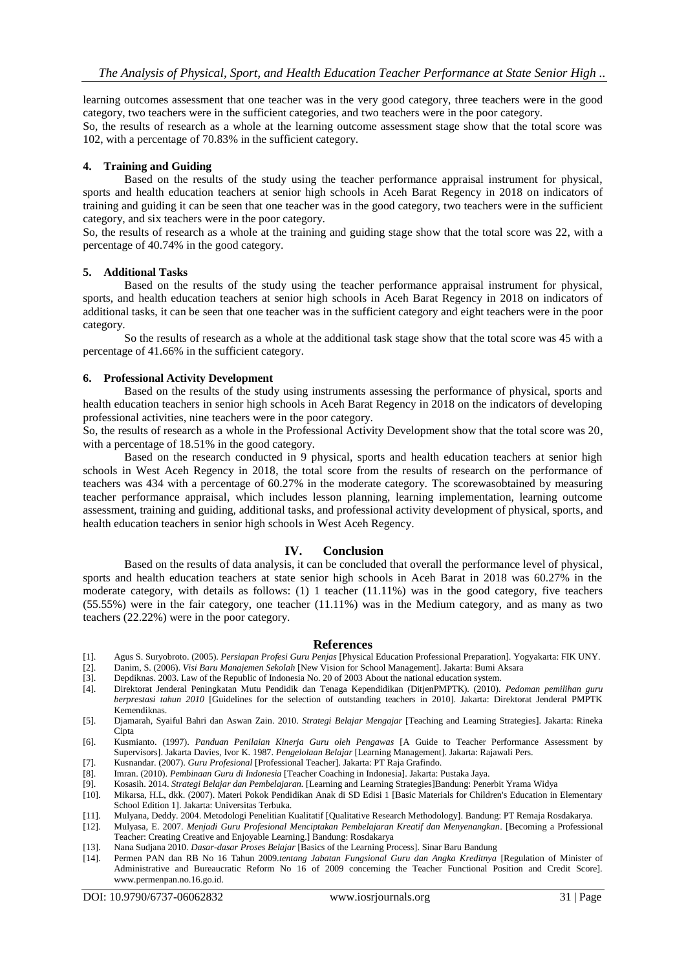learning outcomes assessment that one teacher was in the very good category, three teachers were in the good category, two teachers were in the sufficient categories, and two teachers were in the poor category.

So, the results of research as a whole at the learning outcome assessment stage show that the total score was 102, with a percentage of 70.83% in the sufficient category.

#### **4. Training and Guiding**

Based on the results of the study using the teacher performance appraisal instrument for physical, sports and health education teachers at senior high schools in Aceh Barat Regency in 2018 on indicators of training and guiding it can be seen that one teacher was in the good category, two teachers were in the sufficient category, and six teachers were in the poor category.

So, the results of research as a whole at the training and guiding stage show that the total score was 22, with a percentage of 40.74% in the good category.

#### **5. Additional Tasks**

Based on the results of the study using the teacher performance appraisal instrument for physical, sports, and health education teachers at senior high schools in Aceh Barat Regency in 2018 on indicators of additional tasks, it can be seen that one teacher was in the sufficient category and eight teachers were in the poor category.

So the results of research as a whole at the additional task stage show that the total score was 45 with a percentage of 41.66% in the sufficient category.

#### **6. Professional Activity Development**

Based on the results of the study using instruments assessing the performance of physical, sports and health education teachers in senior high schools in Aceh Barat Regency in 2018 on the indicators of developing professional activities, nine teachers were in the poor category.

So, the results of research as a whole in the Professional Activity Development show that the total score was 20, with a percentage of 18.51% in the good category.

Based on the research conducted in 9 physical, sports and health education teachers at senior high schools in West Aceh Regency in 2018, the total score from the results of research on the performance of teachers was 434 with a percentage of 60.27% in the moderate category. The scorewasobtained by measuring teacher performance appraisal, which includes lesson planning, learning implementation, learning outcome assessment, training and guiding, additional tasks, and professional activity development of physical, sports, and health education teachers in senior high schools in West Aceh Regency.

## **IV. Conclusion**

Based on the results of data analysis, it can be concluded that overall the performance level of physical, sports and health education teachers at state senior high schools in Aceh Barat in 2018 was 60.27% in the moderate category, with details as follows: (1) 1 teacher (11.11%) was in the good category, five teachers (55.55%) were in the fair category, one teacher (11.11%) was in the Medium category, and as many as two teachers (22.22%) were in the poor category.

#### **References**

- [1]. Agus S. Suryobroto. (2005). *Persiapan Profesi Guru Penjas* [Physical Education Professional Preparation]. Yogyakarta: FIK UNY.
- [2]. Danim, S. (2006). *Visi Baru Manajemen Sekolah* [New Vision for School Management]. Jakarta: Bumi Aksara
- [3]. Depdiknas. 2003. Law of the Republic of Indonesia No. 20 of 2003 About the national education system.<br>[4]. Direktorat Jenderal Peningkatan Mutu Pendidik dan Tenaga Kependidikan (DitienPMPTK). (2010).
- [4]. Direktorat Jenderal Peningkatan Mutu Pendidik dan Tenaga Kependidikan (DitjenPMPTK). (2010). *Pedoman pemilihan guru berprestasi tahun 2010* [Guidelines for the selection of outstanding teachers in 2010]. Jakarta: Direktorat Jenderal PMPTK Kemendiknas.
- [5]. Djamarah, Syaiful Bahri dan Aswan Zain. 2010. *Strategi Belajar Mengajar* [Teaching and Learning Strategies]. Jakarta: Rineka Cipta
- [6]. Kusmianto. (1997). *Panduan Penilaian Kinerja Guru oleh Pengawas* [A Guide to Teacher Performance Assessment by Supervisors]. Jakarta Davies, Ivor K. 1987. *Pengelolaan Belajar* [Learning Management]. Jakarta: Rajawali Pers.
- [7]. Kusnandar. (2007). *Guru Profesional* [Professional Teacher]. Jakarta: PT Raja Grafindo.
- [8]. Imran. (2010). *Pembinaan Guru di Indonesia* [Teacher Coaching in Indonesia]. Jakarta: Pustaka Jaya.
- [9]. Kosasih. 2014. *Strategi Belajar dan Pembelajaran.* [Learning and Learning Strategies]Bandung: Penerbit Yrama Widya [10]. Mikarsa, H.L, dkk. (2007). Materi Pokok Pendidikan Anak di SD Edisi 1 [Basic Materials for Children's Education in Elementary School Edition 1]. Jakarta: Universitas Terbuka.
- [11]. Mulyana, Deddy. 2004. Metodologi Penelitian Kualitatif [Qualitative Research Methodology]. Bandung: PT Remaja Rosdakarya.<br>[12]. Mulyasa. E. 2007. *Meniadi Guru Profesional Menciptakan Pembelaiaran Kreatif dan Menyena*
- [12]. Mulyasa, E. 2007. *Menjadi Guru Profesional Menciptakan Pembelajaran Kreatif dan Menyenangkan*. [Becoming a Professional Teacher: Creating Creative and Enjoyable Learning.] Bandung: Rosdakarya
- [13]. Nana Sudjana 2010. *Dasar-dasar Proses Belajar* [Basics of the Learning Process]. Sinar Baru Bandung
- [14]. Permen PAN dan RB No 16 Tahun 2009.*tentang Jabatan Fungsional Guru dan Angka Kreditnya* [Regulation of Minister of Administrative and Bureaucratic Reform No 16 of 2009 concerning the Teacher Functional Position and Credit Score]. www.permenpan.no.16.go.id.